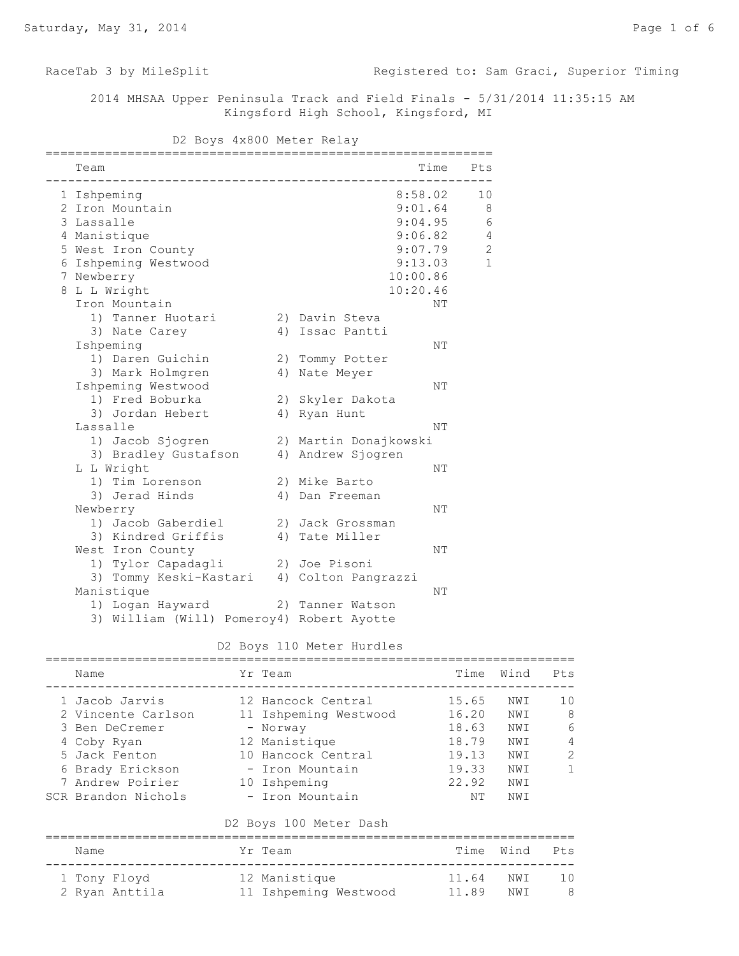RaceTab 3 by MileSplit **Registered to: Sam Graci, Superior Timing** 

 2014 MHSAA Upper Peninsula Track and Field Finals - 5/31/2014 11:35:15 AM Kingsford High School, Kingsford, MI

D2 Boys 4x800 Meter Relay

| Team                                       |                       | Time Pts     |
|--------------------------------------------|-----------------------|--------------|
| 1 Ishpeming                                | 8:58.02               | 10           |
| 2 Iron Mountain                            | 9:01.64               | 8            |
| 3 Lassalle                                 | 9:04.95               | 6            |
| 4 Manistique                               | 9:06.82               | $\sqrt{4}$   |
| 5 West Iron County                         | 9:07.79               | $\sqrt{2}$   |
| 6 Ishpeming Westwood                       | 9:13.03               | $\mathbf{1}$ |
| 7 Newberry                                 | 10:00.86              |              |
| 8 L L Wright                               | 10:20.46              |              |
| Iron Mountain                              |                       | NΤ           |
| 1) Tanner Huotari                          | 2) Davin Steva        |              |
| 3) Nate Carey                              | 4) Issac Pantti       |              |
| Ishpeming                                  |                       | NΤ           |
| 1) Daren Guichin                           | 2) Tommy Potter       |              |
| 3) Mark Holmgren                           | 4) Nate Meyer         |              |
| Ishpeming Westwood                         |                       | NΤ           |
| 1) Fred Boburka                            | 2) Skyler Dakota      |              |
| 3) Jordan Hebert                           | 4) Ryan Hunt          |              |
| Lassalle                                   |                       | NΤ           |
| 1) Jacob Sjogren                           | 2) Martin Donajkowski |              |
| 3) Bradley Gustafson                       | 4) Andrew Sjogren     |              |
| L L Wright                                 |                       | NΤ           |
| 1) Tim Lorenson                            | 2) Mike Barto         |              |
| 3) Jerad Hinds                             | 4) Dan Freeman        |              |
| Newberry                                   |                       | NΤ           |
| 1) Jacob Gaberdiel                         | 2) Jack Grossman      |              |
| 3) Kindred Griffis                         | 4) Tate Miller        |              |
| West Iron County                           |                       | NΤ           |
| 1) Tylor Capadagli                         | 2) Joe Pisoni         |              |
| 3) Tommy Keski-Kastari 4) Colton Pangrazzi |                       |              |
| Manistique                                 |                       | NΤ           |
| 1) Logan Hayward                           | 2) Tanner Watson      |              |
| 3) William (Will) Pomeroy4) Robert Ayotte  |                       |              |

# D2 Boys 110 Meter Hurdles

| Name                                                                                                                                                  | Yr Team                                                                                                                                              | Time                                                              | Wind                                                   | Pts                                 |
|-------------------------------------------------------------------------------------------------------------------------------------------------------|------------------------------------------------------------------------------------------------------------------------------------------------------|-------------------------------------------------------------------|--------------------------------------------------------|-------------------------------------|
| 1 Jacob Jarvis<br>2 Vincente Carlson<br>3 Ben DeCremer<br>4 Coby Ryan<br>5 Jack Fenton<br>6 Brady Erickson<br>7 Andrew Poirier<br>SCR Brandon Nichols | 12 Hancock Central<br>11 Ishpeming Westwood<br>- Norway<br>12 Manistique<br>10 Hancock Central<br>- Iron Mountain<br>10 Ishpeming<br>- Iron Mountain | 15.65<br>16.20<br>18.63<br>18.79<br>19.13<br>19.33<br>22.92<br>NΤ | NWI<br>NWI<br>NWI<br>NWI<br>NW T<br>NW T<br>NWI<br>NWI | 1 O<br>8<br>6<br>4<br>$\mathcal{L}$ |
|                                                                                                                                                       | D2 Boys 100 Meter Dash                                                                                                                               |                                                                   |                                                        |                                     |
|                                                                                                                                                       |                                                                                                                                                      |                                                                   |                                                        |                                     |

| Name           | Yr Team               |           | Time Wind Pts |     |
|----------------|-----------------------|-----------|---------------|-----|
| 1 Tony Flovd   | 12 Manistique         | 11.64 NWT |               | 10  |
| 2 Ryan Anttila | 11 Ishpeming Westwood | 11.89     | NWI           | - 8 |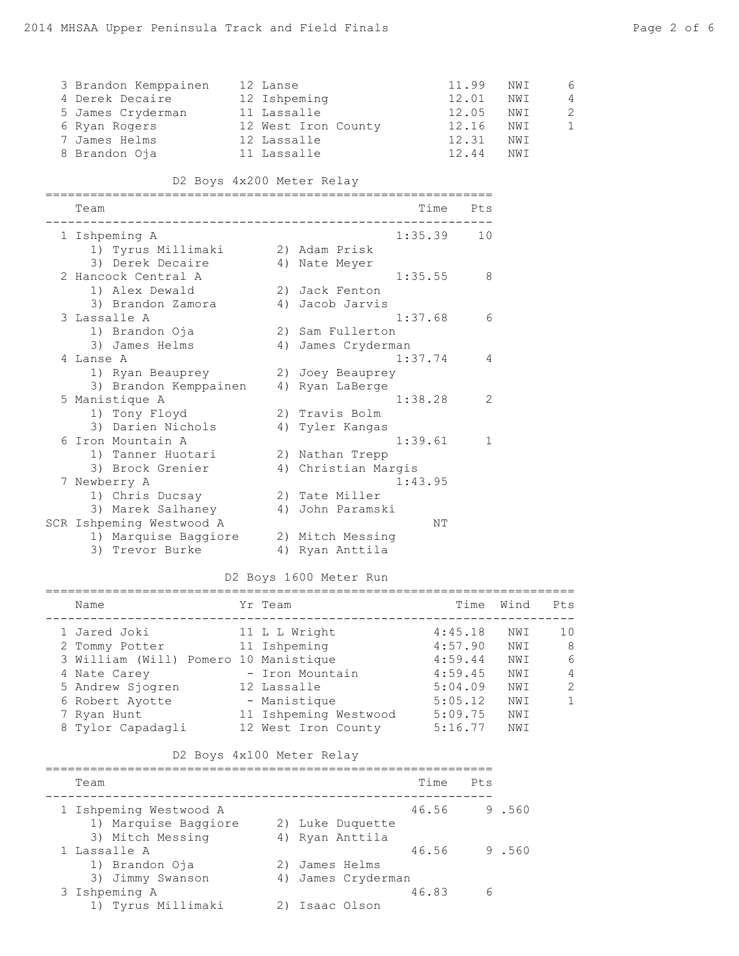| 4 Derek Decaire<br>5 James Cryderman<br>6 Ryan Rogers<br>7 James Helms<br>8 Brandon Oja |                                                                                                                                                                                                                                              |                                           |                                                                                                           |                                                                       |                                                                                                                                                                                                                                                             |                                                                                                                           | NWI<br>NWI<br>NWI<br>NWI<br>NWI<br>NWI                                                                                       | 6<br>4<br>2<br>$\mathbf{1}$      |
|-----------------------------------------------------------------------------------------|----------------------------------------------------------------------------------------------------------------------------------------------------------------------------------------------------------------------------------------------|-------------------------------------------|-----------------------------------------------------------------------------------------------------------|-----------------------------------------------------------------------|-------------------------------------------------------------------------------------------------------------------------------------------------------------------------------------------------------------------------------------------------------------|---------------------------------------------------------------------------------------------------------------------------|------------------------------------------------------------------------------------------------------------------------------|----------------------------------|
|                                                                                         |                                                                                                                                                                                                                                              |                                           |                                                                                                           |                                                                       |                                                                                                                                                                                                                                                             |                                                                                                                           |                                                                                                                              |                                  |
| Team                                                                                    |                                                                                                                                                                                                                                              |                                           |                                                                                                           |                                                                       |                                                                                                                                                                                                                                                             |                                                                                                                           |                                                                                                                              |                                  |
| 1 Ishpeming A                                                                           |                                                                                                                                                                                                                                              |                                           |                                                                                                           |                                                                       |                                                                                                                                                                                                                                                             | 10                                                                                                                        |                                                                                                                              |                                  |
|                                                                                         |                                                                                                                                                                                                                                              |                                           |                                                                                                           |                                                                       |                                                                                                                                                                                                                                                             |                                                                                                                           |                                                                                                                              |                                  |
|                                                                                         |                                                                                                                                                                                                                                              |                                           |                                                                                                           |                                                                       |                                                                                                                                                                                                                                                             |                                                                                                                           |                                                                                                                              |                                  |
|                                                                                         |                                                                                                                                                                                                                                              |                                           |                                                                                                           |                                                                       |                                                                                                                                                                                                                                                             |                                                                                                                           |                                                                                                                              |                                  |
|                                                                                         |                                                                                                                                                                                                                                              |                                           |                                                                                                           |                                                                       |                                                                                                                                                                                                                                                             |                                                                                                                           |                                                                                                                              |                                  |
|                                                                                         |                                                                                                                                                                                                                                              |                                           |                                                                                                           |                                                                       |                                                                                                                                                                                                                                                             |                                                                                                                           |                                                                                                                              |                                  |
|                                                                                         |                                                                                                                                                                                                                                              |                                           |                                                                                                           |                                                                       |                                                                                                                                                                                                                                                             |                                                                                                                           |                                                                                                                              |                                  |
|                                                                                         |                                                                                                                                                                                                                                              |                                           |                                                                                                           |                                                                       |                                                                                                                                                                                                                                                             |                                                                                                                           |                                                                                                                              |                                  |
| 4 Lanse A                                                                               |                                                                                                                                                                                                                                              |                                           |                                                                                                           |                                                                       |                                                                                                                                                                                                                                                             | 4                                                                                                                         |                                                                                                                              |                                  |
|                                                                                         |                                                                                                                                                                                                                                              |                                           |                                                                                                           |                                                                       |                                                                                                                                                                                                                                                             |                                                                                                                           |                                                                                                                              |                                  |
|                                                                                         |                                                                                                                                                                                                                                              |                                           |                                                                                                           |                                                                       |                                                                                                                                                                                                                                                             |                                                                                                                           |                                                                                                                              |                                  |
| 5 Manistique A                                                                          |                                                                                                                                                                                                                                              |                                           |                                                                                                           |                                                                       |                                                                                                                                                                                                                                                             | 2                                                                                                                         |                                                                                                                              |                                  |
| 1) Tony Floyd                                                                           |                                                                                                                                                                                                                                              |                                           |                                                                                                           |                                                                       |                                                                                                                                                                                                                                                             |                                                                                                                           |                                                                                                                              |                                  |
|                                                                                         |                                                                                                                                                                                                                                              |                                           |                                                                                                           |                                                                       |                                                                                                                                                                                                                                                             |                                                                                                                           |                                                                                                                              |                                  |
|                                                                                         |                                                                                                                                                                                                                                              |                                           |                                                                                                           |                                                                       |                                                                                                                                                                                                                                                             |                                                                                                                           |                                                                                                                              |                                  |
|                                                                                         |                                                                                                                                                                                                                                              |                                           |                                                                                                           |                                                                       |                                                                                                                                                                                                                                                             |                                                                                                                           |                                                                                                                              |                                  |
|                                                                                         |                                                                                                                                                                                                                                              |                                           |                                                                                                           |                                                                       |                                                                                                                                                                                                                                                             |                                                                                                                           |                                                                                                                              |                                  |
|                                                                                         |                                                                                                                                                                                                                                              |                                           |                                                                                                           |                                                                       |                                                                                                                                                                                                                                                             |                                                                                                                           |                                                                                                                              |                                  |
|                                                                                         |                                                                                                                                                                                                                                              |                                           |                                                                                                           |                                                                       |                                                                                                                                                                                                                                                             |                                                                                                                           |                                                                                                                              |                                  |
|                                                                                         |                                                                                                                                                                                                                                              |                                           |                                                                                                           |                                                                       |                                                                                                                                                                                                                                                             |                                                                                                                           |                                                                                                                              |                                  |
|                                                                                         |                                                                                                                                                                                                                                              |                                           |                                                                                                           |                                                                       |                                                                                                                                                                                                                                                             |                                                                                                                           |                                                                                                                              |                                  |
| 3) Trevor Burke                                                                         |                                                                                                                                                                                                                                              |                                           |                                                                                                           |                                                                       |                                                                                                                                                                                                                                                             |                                                                                                                           |                                                                                                                              |                                  |
|                                                                                         | 3) Derek Decaire<br>2 Hancock Central A<br>1) Alex Dewald<br>3 Lassalle A<br>1) Brandon Oja<br>3) James Helms<br>3) Darien Nichols<br>6 Iron Mountain A<br>1) Tanner Huotari<br>3) Brock Grenier<br>7 Newberry A<br>SCR Ishpeming Westwood A | 3 Brandon Kemppainen<br>3) Brandon Zamora | 1) Ryan Beauprey<br>3) Brandon Kemppainen<br>1) Chris Ducsay<br>3) Marek Salhaney<br>1) Marquise Baggiore | 12 Lanse<br>12 Ishpeming<br>11 Lassalle<br>12 Lassalle<br>11 Lassalle | 12 West Iron County<br>D2 Boys 4x200 Meter Relay<br>1) Tyrus Millimaki (2) Adam Prisk<br>4) Nate Meyer<br>2) Jack Fenton<br>4) Jacob Jarvis<br>4) Ryan LaBerge<br>2) Travis Bolm<br>4) Tyler Kangas<br>2) Nathan Trepp<br>2) Tate Miller<br>4) Ryan Anttila | 2) Sam Fullerton<br>4) James Cryderman<br>2) Joey Beauprey<br>4) Christian Margis<br>4) John Paramski<br>2) Mitch Messing | 11.99<br>12.01<br>Time Pts<br>1:35.39<br>1:35.55<br>8<br>1:37.68<br>6<br>1:37.74<br>1:38.28<br>1:39.61<br>1<br>1:43.95<br>NΤ | 12.05<br>12.16<br>12.31<br>12.44 |

# D2 Boys 1600 Meter Run

| Name                                                                                                                                          | Yr Team                                                                                                  | Time                                                                      | Wind                                               | Pts                                                         |
|-----------------------------------------------------------------------------------------------------------------------------------------------|----------------------------------------------------------------------------------------------------------|---------------------------------------------------------------------------|----------------------------------------------------|-------------------------------------------------------------|
| 1 Jared Joki<br>2 Tommy Potter<br>3 William (Will) Pomero 10 Manistique<br>4 Nate Carey<br>5 Andrew Sjogren<br>6 Robert Ayotte<br>7 Ryan Hunt | 11 L L Wright<br>11 Ishpeming<br>- Iron Mountain<br>12 Lassalle<br>- Manistique<br>11 Ishpeming Westwood | 4:45.18<br>4:57.90<br>4:59.44<br>4:59.45<br>5:04.09<br>5:05.12<br>5:09.75 | NWI<br>NW T<br>NW T<br>NW T<br>NW T<br>NW T<br>NWI | 1 <sub>0</sub><br>8<br>6<br>$\overline{4}$<br>$\mathcal{P}$ |
| 8 Tylor Capadagli                                                                                                                             | 12 West Iron County                                                                                      | 5:16.77                                                                   | NWI                                                |                                                             |

# D2 Boys 4x100 Meter Relay

| Team                   |                    | Time  | $P_{\text{L}}$ s |       |
|------------------------|--------------------|-------|------------------|-------|
| 1 Ishpeming Westwood A |                    | 46.56 |                  | 9.560 |
| 1) Marquise Baggiore   | 2) Luke Duquette   |       |                  |       |
| 3) Mitch Messing       | 4) Ryan Anttila    |       |                  |       |
| 1 Lassalle A           |                    | 46.56 |                  | 9.560 |
| 1) Brandon Oja         | 2) James Helms     |       |                  |       |
| 3) Jimmy Swanson       | 4) James Cryderman |       |                  |       |
| 3 Ishpeming A          |                    | 46.83 | 6                |       |
| 1) Tyrus Millimaki     | Isaac Olson        |       |                  |       |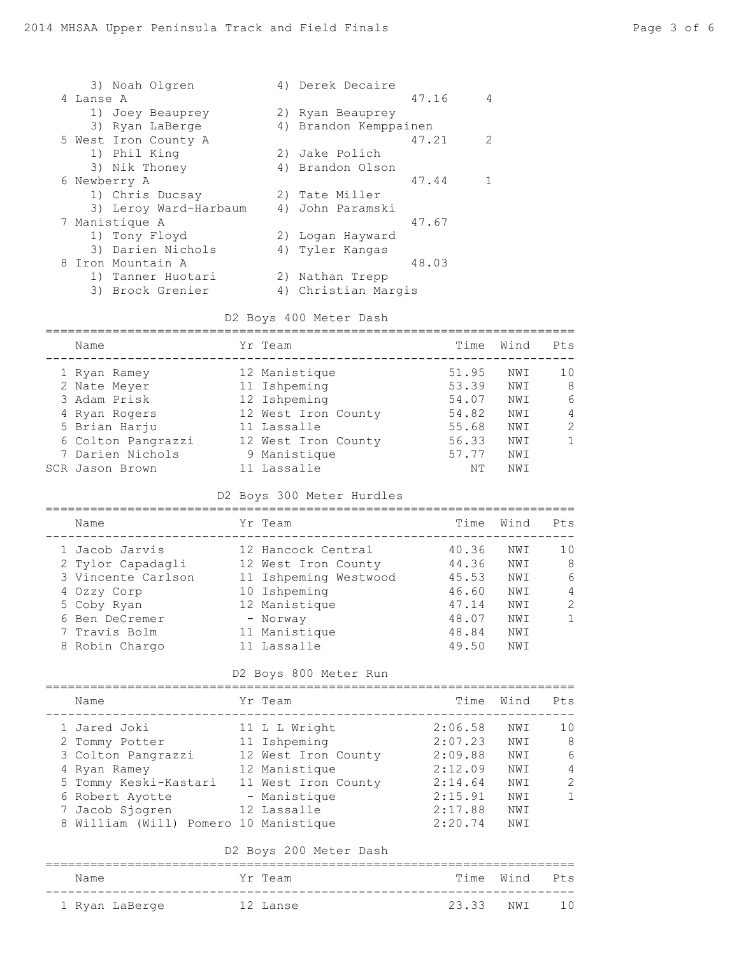| 3) Noah Olgren        | 4) Derek Decaire       |
|-----------------------|------------------------|
| 4 Lanse A             | 47.16<br>4             |
| 1) Joey Beauprey      | 2) Ryan Beauprey       |
| 3) Ryan LaBerge       | 4) Brandon Kemppainen  |
| 5 West Iron County A  | $\mathcal{P}$<br>47.21 |
| 1) Phil King          | 2) Jake Polich         |
| 3) Nik Thoney         | 4) Brandon Olson       |
| 6 Newberry A          | 47.44                  |
| 1) Chris Ducsay       | 2) Tate Miller         |
| 3) Leroy Ward-Harbaum | 4) John Paramski       |
| 7 Manistique A        | 47.67                  |
| 1) Tony Floyd         | 2) Loqan Hayward       |
| 3) Darien Nichols     | 4) Tyler Kangas        |
| 8 Iron Mountain A     | 48.03                  |
| 1) Tanner Huotari     | 2) Nathan Trepp        |
| 3) Brock Grenier      | 4) Christian Margis    |
|                       |                        |

#### D2 Boys 400 Meter Dash

| Name               | Yr Team             | Time  | Wind | Pts           |
|--------------------|---------------------|-------|------|---------------|
| 1 Ryan Ramey       | 12 Manistique       | 51.95 | NWI  | 1 O           |
| 2 Nate Meyer       | 11 Ishpeming        | 53.39 | NWI  | 8             |
| 3 Adam Prisk       | 12 Ishpeming        | 54.07 | NWI  | 6             |
| 4 Ryan Rogers      | 12 West Iron County | 54.82 | NWI  | 4             |
| 5 Brian Harju      | 11 Lassalle         | 55.68 | NWI  | $\mathcal{L}$ |
| 6 Colton Pangrazzi | 12 West Iron County | 56.33 | NWI  |               |
| 7 Darien Nichols   | 9 Manistique        | 57.77 | NWI  |               |
| SCR Jason Brown    | 11 Lassalle         | NΤ    | NWI  |               |

#### D2 Boys 300 Meter Hurdles

| Name               | Yr Team               | Time  | Wind | Pts           |
|--------------------|-----------------------|-------|------|---------------|
| 1 Jacob Jarvis     | 12 Hancock Central    | 40.36 | NWI  | 10            |
| 2 Tylor Capadagli  | 12 West Iron County   | 44.36 | NWI  | 8             |
| 3 Vincente Carlson | 11 Ishpeming Westwood | 45.53 | NWI  | 6             |
| 4 Ozzy Corp        | 10 Ishpeming          | 46.60 | NWI  | 4             |
| 5 Coby Ryan        | 12 Manistique         | 47.14 | NWI  | $\mathcal{P}$ |
| 6 Ben DeCremer     | - Norway              | 48.07 | NWI  |               |
| 7 Travis Bolm      | 11 Manistique         | 48.84 | NWI  |               |
| 8 Robin Chargo     | 11 Lassalle           | 49.50 | NW T |               |

#### D2 Boys 800 Meter Run

| Name                                  | Yr Team             | Time    | Wind | Pts            |
|---------------------------------------|---------------------|---------|------|----------------|
| 1 Jared Joki                          | 11 L L Wright       | 2:06.58 | NWI  | 10             |
| 2 Tommy Potter                        | 11 Ishpeming        | 2:07.23 | NWI  | 8              |
| 3 Colton Pangrazzi                    | 12 West Iron County | 2:09.88 | NWI  | 6              |
| 4 Ryan Ramey                          | 12 Manistique       | 2:12.09 | NWI  | $\overline{4}$ |
| 5 Tommy Keski-Kastari                 | 11 West Iron County | 2:14.64 | NWI  | $\mathcal{L}$  |
| 6 Robert Ayotte                       | - Manistique        | 2:15.91 | NWI  | 1              |
| 7 Jacob Sjogren                       | 12 Lassalle         | 2:17.88 | NWI  |                |
| 8 William (Will) Pomero 10 Manistique |                     | 2:20.74 | NWI  |                |

#### D2 Boys 200 Meter Dash

| Name           | Yr Team  |              | Time Wind Pts |  |
|----------------|----------|--------------|---------------|--|
| 1 Ryan LaBerge | 12 Lanse | 23.33 NWT 10 |               |  |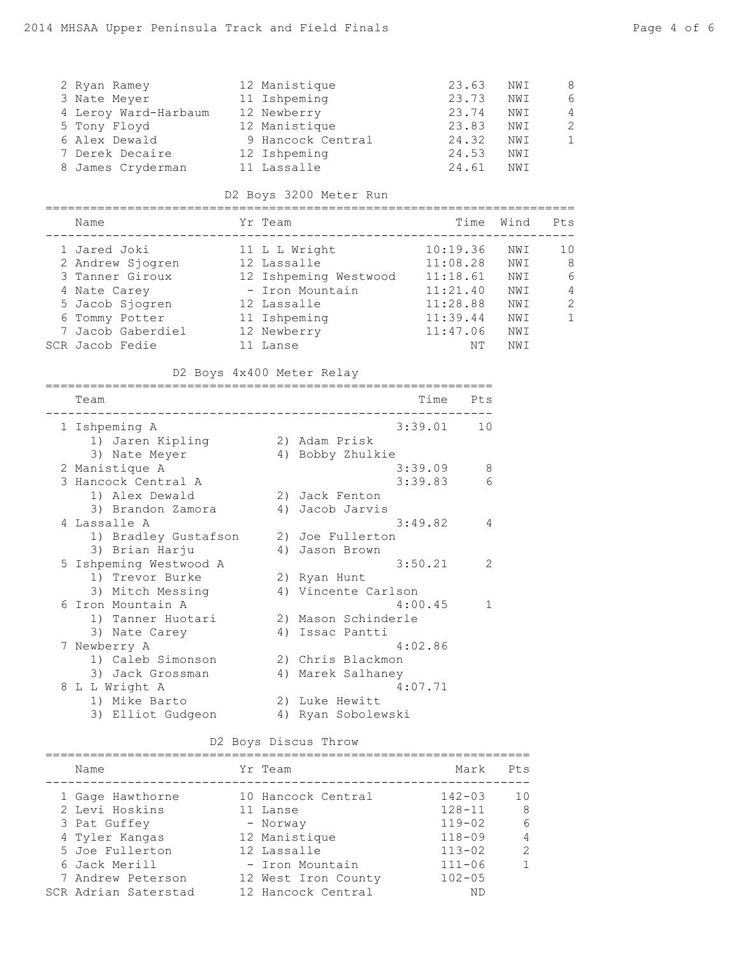| 2 Ryan Ramey         | 12 Manistique     | 23.63 | NWI | 8              |
|----------------------|-------------------|-------|-----|----------------|
| 3 Nate Meyer         | 11 Ishpeming      | 23.73 | NWI | 6              |
| 4 Leroy Ward-Harbaum | 12 Newberry       | 23.74 | NWI | $\overline{4}$ |
| 5 Tony Floyd         | 12 Manistique     | 23.83 | NWI | 2              |
| 6 Alex Dewald        | 9 Hancock Central | 24.32 | NWI | 1              |
| 7 Derek Decaire      | 12 Ishpeming      | 24.53 | NWI |                |
| 8 James Cryderman    | 11 Lassalle       | 24.61 | NWI |                |

# D2 Boys 3200 Meter Run

| Name              | Yr Team               | Time     | Wind | $P_{\text{L.S}}$ |
|-------------------|-----------------------|----------|------|------------------|
| 1 Jared Joki      | 11 L L Wright         | 10:19.36 | NWI  | 10               |
| 2 Andrew Sjogren  | 12 Lassalle           | 11:08.28 | NWI  | 8                |
| 3 Tanner Giroux   | 12 Ishpeming Westwood | 11:18.61 | NWI  | 6                |
| 4 Nate Carey      | - Iron Mountain       | 11:21.40 | NWI  | 4                |
| 5 Jacob Sjogren   | 12 Lassalle           | 11:28.88 | NWI  | $\mathcal{L}$    |
| 6 Tommy Potter    | 11 Ishpeming          | 11:39.44 | NWI  |                  |
| 7 Jacob Gaberdiel | 12 Newberry           | 11:47.06 | NWI  |                  |
| SCR Jacob Fedie   | Lanse                 | NΤ       | NWI  |                  |

# D2 Boys 4x400 Meter Relay

|    | Team                   |    | Time<br>Pts             |
|----|------------------------|----|-------------------------|
|    | 1 Ishpeming A          |    | 3:39.01<br>10           |
|    | 1) Jaren Kipling       |    | 2) Adam Prisk           |
|    | 3) Nate Meyer          | 4) | Bobby Zhulkie           |
|    | 2 Manistique A         |    | 3:39.09<br>8            |
|    | 3 Hancock Central A    |    | 3:39.83<br>6            |
|    | 1) Alex Dewald         |    | 2) Jack Fenton          |
|    | 3) Brandon Zamora      | 4) | Jacob Jarvis            |
| 4  | Lassalle A             |    | 3:49.82<br>4            |
|    | 1) Bradley Gustafson   |    | 2) Joe Fullerton        |
|    | 3) Brian Harju         |    | 4) Jason Brown          |
|    | 5 Ishpeming Westwood A |    | 3:50.21<br>2            |
|    | 1) Trevor Burke        |    | 2) Ryan Hunt            |
|    | 3) Mitch Messing       |    | 4) Vincente Carlson     |
| 6  | Iron Mountain A        |    | 4:00.45<br>$\mathbf{1}$ |
|    | 1) Tanner Huotari      |    | 2) Mason Schinderle     |
|    | 3) Nate Carey          | 4) | Issac Pantti            |
| 7. | Newberry A             |    | 4:02.86                 |
|    | 1) Caleb Simonson      |    | 2) Chris Blackmon       |
|    | 3) Jack Grossman       | 4) | Marek Salhaney          |
| 8  | L L Wright A           |    | 4:07.71                 |
|    | 1) Mike Barto          |    | 2) Luke Hewitt          |
|    | 3) Elliot Gudgeon      | 4) | Ryan Sobolewski         |

# D2 Boys Discus Throw

| Name                 | Yr Team             | Mark       | Pts           |
|----------------------|---------------------|------------|---------------|
| 1 Gage Hawthorne     | 10 Hancock Central  | $142 - 03$ | 1 O           |
| 2 Levi Hoskins       | 11 Lanse            | $128 - 11$ | 8             |
| 3 Pat Guffey         | - Norway            | $119 - 02$ | 6             |
| 4 Tyler Kangas       | 12 Manistique       | $118 - 09$ | 4             |
| 5 Joe Fullerton      | 12 Lassalle         | $113 - 02$ | $\mathcal{L}$ |
| 6 Jack Merill        | - Iron Mountain     | $111 - 06$ |               |
| 7 Andrew Peterson    | 12 West Iron County | $102 - 05$ |               |
| SCR Adrian Saterstad | 12 Hancock Central  | <b>ND</b>  |               |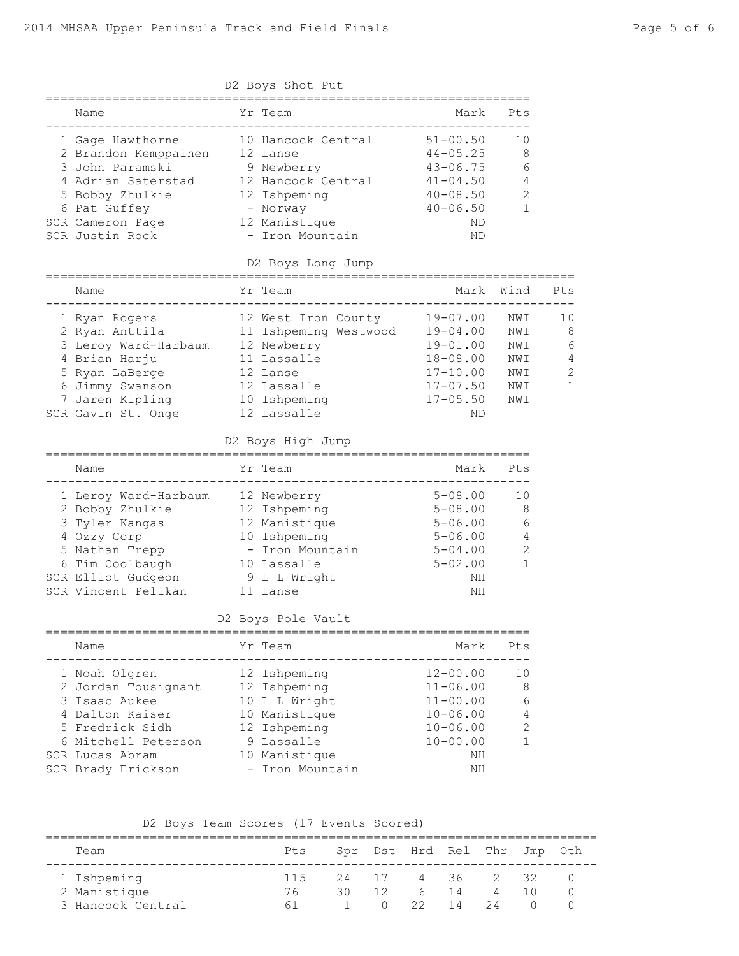| D2 Boys Shot Put |                                                     |  |                                                       |                              |                |              |  |  |
|------------------|-----------------------------------------------------|--|-------------------------------------------------------|------------------------------|----------------|--------------|--|--|
|                  | Name                                                |  | Yr Team                                               |                              | Mark Pts       |              |  |  |
|                  | 1 Gage Hawthorne<br>2 Brandon Kemppainen            |  | 10 Hancock Central<br>12 Lanse                        | $51 - 00.50$<br>$44 - 05.25$ | 10<br>8        |              |  |  |
|                  | 3 John Paramski                                     |  | 9 Newberry                                            | $43 - 06.75$                 | 6              |              |  |  |
|                  | 4 Adrian Saterstad                                  |  | 12 Hancock Central                                    | $41 - 04.50$                 | 4              |              |  |  |
|                  | 5 Bobby Zhulkie 12 Ishpeming                        |  |                                                       | $40 - 08.50$                 | $\mathbf{2}$   |              |  |  |
|                  | 6 Pat Guffey                                        |  | - Norway                                              | $40 - 06.50$                 | 1              |              |  |  |
|                  | SCR Cameron Page                                    |  | 12 Manistique                                         | ND.                          |                |              |  |  |
|                  | SCR Justin Rock                                     |  | - Iron Mountain                                       | ND                           |                |              |  |  |
|                  |                                                     |  | D2 Boys Long Jump                                     |                              |                |              |  |  |
|                  | Name                                                |  | Yr Team                                               |                              | Mark Wind      | Pts          |  |  |
|                  | 1 Ryan Rogers                                       |  | 12 West Iron County                                   | $19 - 07.00$                 | NWI            | 10           |  |  |
|                  | 2 Ryan Anttila                                      |  | 11 Ishpeming Westwood                                 | 19-04.00                     | NWI            | 8            |  |  |
|                  | 3 Leroy Ward-Harbaum 12 Newberry                    |  |                                                       | 19-01.00                     | NWI            | 6            |  |  |
|                  | 4 Brian Harju                                       |  | 11 Lassalle                                           | 18-08.00                     | NWI            | 4            |  |  |
|                  | 5 Ryan LaBerge                                      |  | 12 Lanse                                              | $17 - 10.00$                 | NWI            | $\mathbf{2}$ |  |  |
|                  | 6 Jimmy Swanson                                     |  | 12 Lassalle                                           | $17 - 07.50$                 | NWI            | 1            |  |  |
|                  | 7 Jaren Kipling                                     |  | 10 Ishpeming                                          | $17 - 05.50$                 | NWI            |              |  |  |
|                  | SCR Gavin St. Onge                                  |  | 12 Lassalle                                           | ND.                          |                |              |  |  |
|                  |                                                     |  | D2 Boys High Jump                                     |                              |                |              |  |  |
|                  | Name                                                |  | Yr Team                                               | Mark                         | Pts            |              |  |  |
|                  | 1 Leroy Ward-Harbaum 12 Newberry                    |  |                                                       | $5 - 08.00$                  | 10             |              |  |  |
|                  |                                                     |  | 12 Ishpeming                                          | $5 - 08.00$                  | 8              |              |  |  |
|                  | 2 Bobby Zhulkie<br>3 Twler Kangas<br>3 Tyler Kangas |  | 12 Manistique                                         | $5 - 06.00$                  | 6              |              |  |  |
|                  | 4 Ozzy Corp                                         |  | 10 Ishpeming                                          | $5 - 06.00$                  | 4              |              |  |  |
|                  | 5 Nathan Trepp                                      |  | - Iron Mountain                                       | $5 - 04.00$                  | $\sqrt{2}$     |              |  |  |
|                  | 6 Tim Coolbaugh                                     |  | 10 Lassalle                                           | $5 - 02.00$                  | $\mathbf 1$    |              |  |  |
|                  | SCR Elliot Gudgeon 9 L L Wright                     |  |                                                       | NH                           |                |              |  |  |
|                  | SCR Vincent Pelikan                                 |  | 11 Lanse                                              | ΝH                           |                |              |  |  |
|                  |                                                     |  | D2 Boys Pole Vault                                    |                              |                |              |  |  |
|                  | Name                                                |  | Yr Team                                               | Mark                         | Pts            |              |  |  |
|                  | 1 Noah Olgren                                       |  | ---------------<br>------------------<br>12 Ishpeming | $12 - 00.00$                 | --------<br>10 |              |  |  |
|                  | 2 Jordan Tousignant                                 |  | 12 Ishpeming                                          | $11 - 06.00$                 | 8              |              |  |  |
|                  | 3 Isaac Aukee                                       |  | 10 L L Wright                                         | $11 - 00.00$                 | 6              |              |  |  |
|                  | 4 Dalton Kaiser                                     |  | 10 Manistique                                         | $10 - 06.00$                 | 4              |              |  |  |
|                  | 5 Fredrick Sidh                                     |  | 12 Ishpeming                                          | $10 - 06.00$                 | $\mathbf{2}$   |              |  |  |
|                  | 6 Mitchell Peterson                                 |  | 9 Lassalle                                            | $10 - 00.00$                 | $\mathbf{1}$   |              |  |  |
|                  | SCR Lucas Abram                                     |  | 10 Manistique                                         | ΝH                           |                |              |  |  |
|                  | SCR Brady Erickson                                  |  | - Iron Mountain                                       | ΝH                           |                |              |  |  |
|                  |                                                     |  |                                                       |                              |                |              |  |  |

D2 Boys Team Scores (17 Events Scored)

|  | Team              | Pts    |    |           | Spr Dst Hrd Rel Thr Jmp Oth |      |          |  |  |  |  |
|--|-------------------|--------|----|-----------|-----------------------------|------|----------|--|--|--|--|
|  | 1 Ishpeming       | 115    |    | 24 17     |                             | 4 36 | 2 32     |  |  |  |  |
|  | 2 Manistique      | 76     | 30 | 12        | h                           | - 14 | $\Delta$ |  |  |  |  |
|  | 3 Hancock Central | $\sim$ |    | $\bigcap$ | 22 14                       |      | -24      |  |  |  |  |